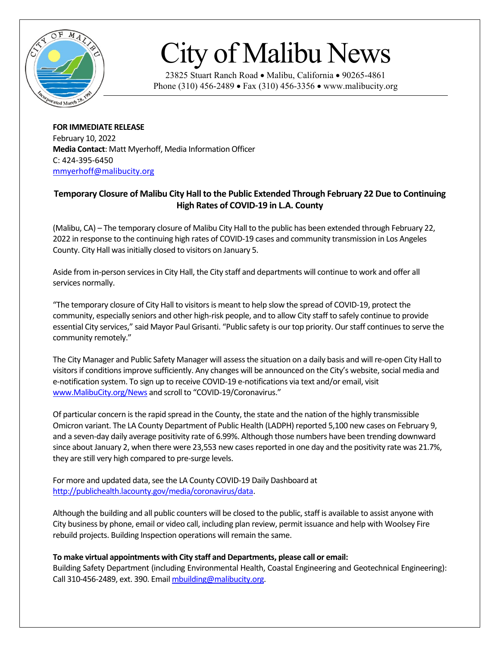

## City of Malibu News

23825 Stuart Ranch Road • Malibu, California • 90265-4861 Phone (310) 456-2489 • Fax (310) 456-3356 • www.malibucity.org

**FOR IMMEDIATE RELEASE** February 10, 2022 **Media Contact**: Matt Myerhoff, Media Information Officer C: 424-395-6450 [mmyerhoff@malibucity.org](mailto:mmyerhoff@malibucity.org)

## **Temporary Closure of Malibu City Hall to the Public Extended Through February 22 Due to Continuing High Rates of COVID-19 in L.A. County**

(Malibu, CA) – The temporary closure of Malibu City Hall to the public has been extended through February 22, 2022 in response to the continuing high rates of COVID-19 cases and community transmission in Los Angeles County. City Hall was initially closed to visitors on January 5.

Aside from in-person services in City Hall, the City staff and departments will continue to work and offer all services normally.

"The temporary closure of City Hall to visitors is meant to help slow the spread of COVID-19, protect the community, especially seniors and other high-risk people, and to allow City staff to safely continue to provide essential City services," said Mayor Paul Grisanti. "Public safety is our top priority. Our staff continues to serve the community remotely."

The City Manager and Public Safety Manager will assessthe situation on a daily basis and will re-open City Hall to visitors if conditions improve sufficiently. Any changes will be announced on the City's website, social media and e-notification system. To sign up to receive COVID-19 e-notifications via text and/or email, visit [www.MalibuCity.org/News](http://www.malibucity.org/News) and scroll to "COVID-19/Coronavirus."

Of particular concern is the rapid spread in the County, the state and the nation of the highly transmissible Omicron variant. The LA County Department of Public Health (LADPH) reported 5,100 new cases on February 9, and a seven-day daily average positivity rate of 6.99%. Although those numbers have been trending downward since about January 2, when there were 23,553 new cases reported in one day and the positivity rate was 21.7%, they are still very high compared to pre-surge levels.

For more and updated data, see the LA County COVID-19 Daily Dashboard at [http://publichealth.lacounty.gov/media/coronavirus/data.](http://publichealth.lacounty.gov/media/coronavirus/data)

Although the building and all public counters will be closed to the public, staff is available to assist anyone with City business by phone, email or video call, including plan review, permit issuance and help with Woolsey Fire rebuild projects. Building Inspection operations will remain the same.

## **To make virtual appointments with City staff and Departments, please call or email:**

Building Safety Department (including Environmental Health, Coastal Engineering and Geotechnical Engineering): Call 310-456-2489, ext. 390. Emai[l mbuilding@malibucity.org.](mailto:mbuilding@malibucity.org)